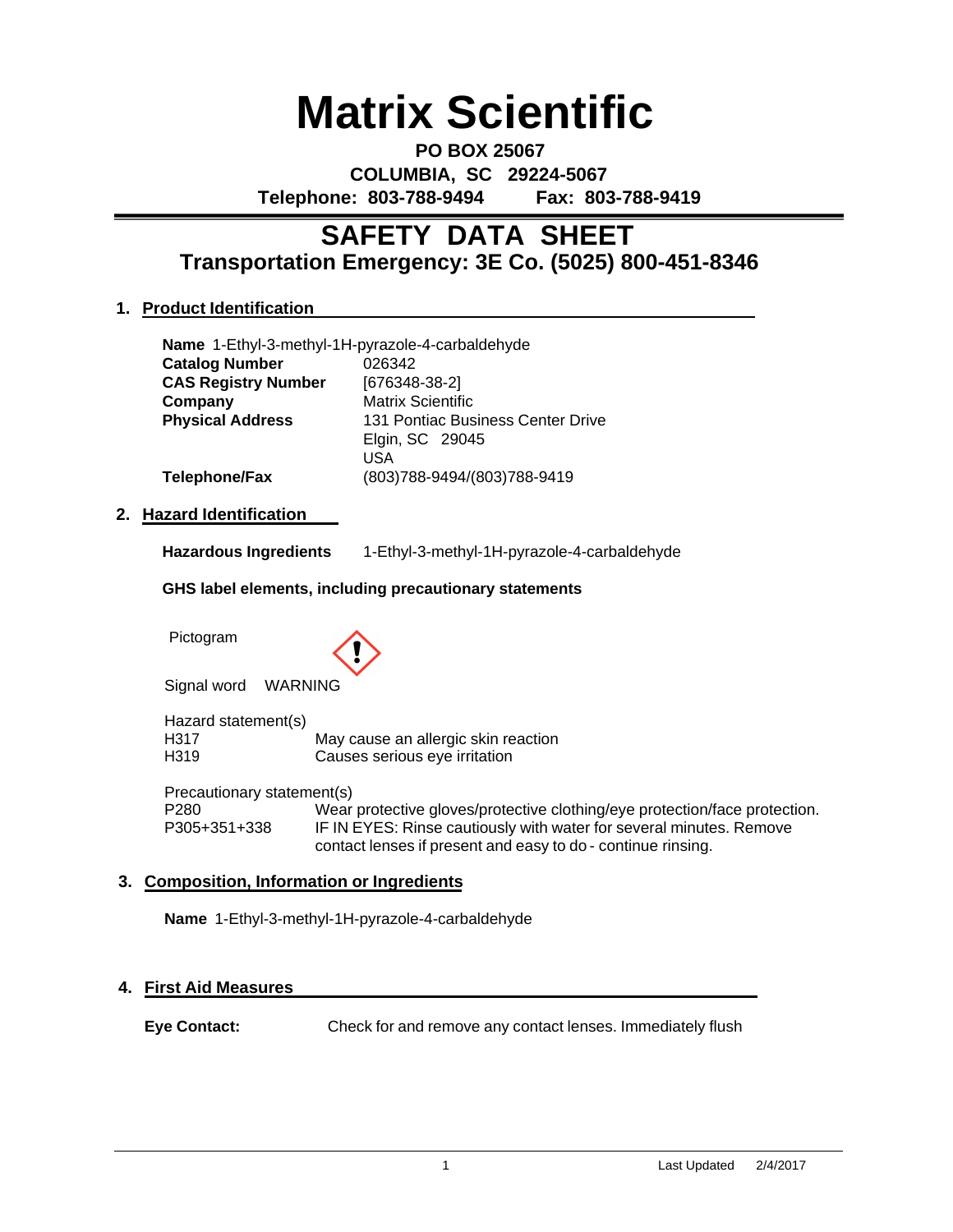# **Matrix Scientific**

**PO BOX 25067 COLUMBIA, SC 29224-5067 Telephone: 803-788-9494 Fax: 803-788-9419**

# **Transportation Emergency: 3E Co. (5025) 800-451-8346 SAFETY DATA SHEET**

#### **1. Product Identification**

|                            | Name 1-Ethyl-3-methyl-1H-pyrazole-4-carbaldehyde |
|----------------------------|--------------------------------------------------|
| <b>Catalog Number</b>      | 026342                                           |
| <b>CAS Registry Number</b> | $[676348-38-2]$                                  |
| Company                    | <b>Matrix Scientific</b>                         |
| <b>Physical Address</b>    | 131 Pontiac Business Center Drive                |
|                            | Elgin, SC 29045                                  |
|                            | <b>USA</b>                                       |
| <b>Telephone/Fax</b>       | (803)788-9494/(803)788-9419                      |

#### **2. Hazard Identification**

**Hazardous Ingredients** 1-Ethyl-3-methyl-1H-pyrazole-4-carbaldehyde

#### **GHS label elements, including precautionary statements**

Pictogram



Signal word WARNING

Hazard statement(s) H317 May cause an allergic skin reaction H319 Causes serious eye irritation

Precautionary statement(s) P280 Wear protective gloves/protective clothing/eye protection/face protection. P305+351+338 IF IN EYES: Rinse cautiously with water for several minutes. Remove contact lenses if present and easy to do - continue rinsing.

#### **3. Composition, Information or Ingredients**

**Name** 1-Ethyl-3-methyl-1H-pyrazole-4-carbaldehyde

#### **4. First Aid Measures**

**Eye Contact:** Check for and remove any contact lenses. Immediately flush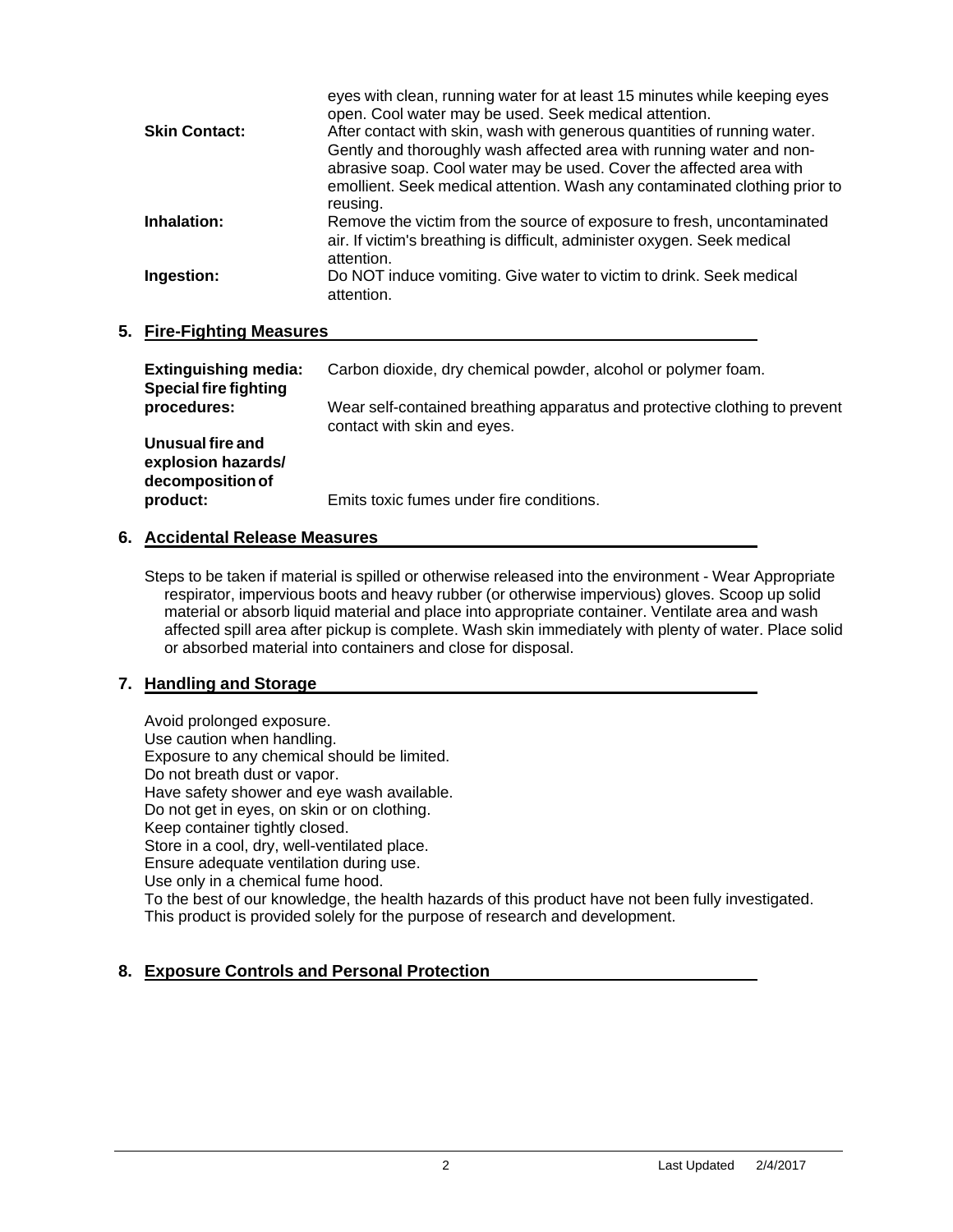|                      | eyes with clean, running water for at least 15 minutes while keeping eyes<br>open. Cool water may be used. Seek medical attention. |
|----------------------|------------------------------------------------------------------------------------------------------------------------------------|
| <b>Skin Contact:</b> | After contact with skin, wash with generous quantities of running water.                                                           |
|                      | Gently and thoroughly wash affected area with running water and non-                                                               |
|                      | abrasive soap. Cool water may be used. Cover the affected area with                                                                |
|                      | emollient. Seek medical attention. Wash any contaminated clothing prior to                                                         |
|                      | reusing.                                                                                                                           |
| Inhalation:          | Remove the victim from the source of exposure to fresh, uncontaminated                                                             |
|                      | air. If victim's breathing is difficult, administer oxygen. Seek medical                                                           |
|                      | attention.                                                                                                                         |
| Ingestion:           | Do NOT induce vomiting. Give water to victim to drink. Seek medical                                                                |
|                      | attention.                                                                                                                         |
|                      |                                                                                                                                    |

#### **5. Fire-Fighting Measures**

| <b>Extinguishing media:</b><br><b>Special fire fighting</b> | Carbon dioxide, dry chemical powder, alcohol or polymer foam.                                             |
|-------------------------------------------------------------|-----------------------------------------------------------------------------------------------------------|
| procedures:                                                 | Wear self-contained breathing apparatus and protective clothing to prevent<br>contact with skin and eyes. |
| Unusual fire and<br>explosion hazards/<br>decomposition of  |                                                                                                           |
| product:                                                    | Emits toxic fumes under fire conditions.                                                                  |

#### **6. Accidental Release Measures**

Steps to be taken if material is spilled or otherwise released into the environment - Wear Appropriate respirator, impervious boots and heavy rubber (or otherwise impervious) gloves. Scoop up solid material or absorb liquid material and place into appropriate container. Ventilate area and wash affected spill area after pickup is complete. Wash skin immediately with plenty of water. Place solid or absorbed material into containers and close for disposal.

#### **7. Handling and Storage**

Avoid prolonged exposure. Use caution when handling. Exposure to any chemical should be limited. Do not breath dust or vapor. Have safety shower and eye wash available. Do not get in eyes, on skin or on clothing. Keep container tightly closed. Store in a cool, dry, well-ventilated place. Ensure adequate ventilation during use. Use only in a chemical fume hood. To the best of our knowledge, the health hazards of this product have not been fully investigated. This product is provided solely for the purpose of research and development.

#### **8. Exposure Controls and Personal Protection**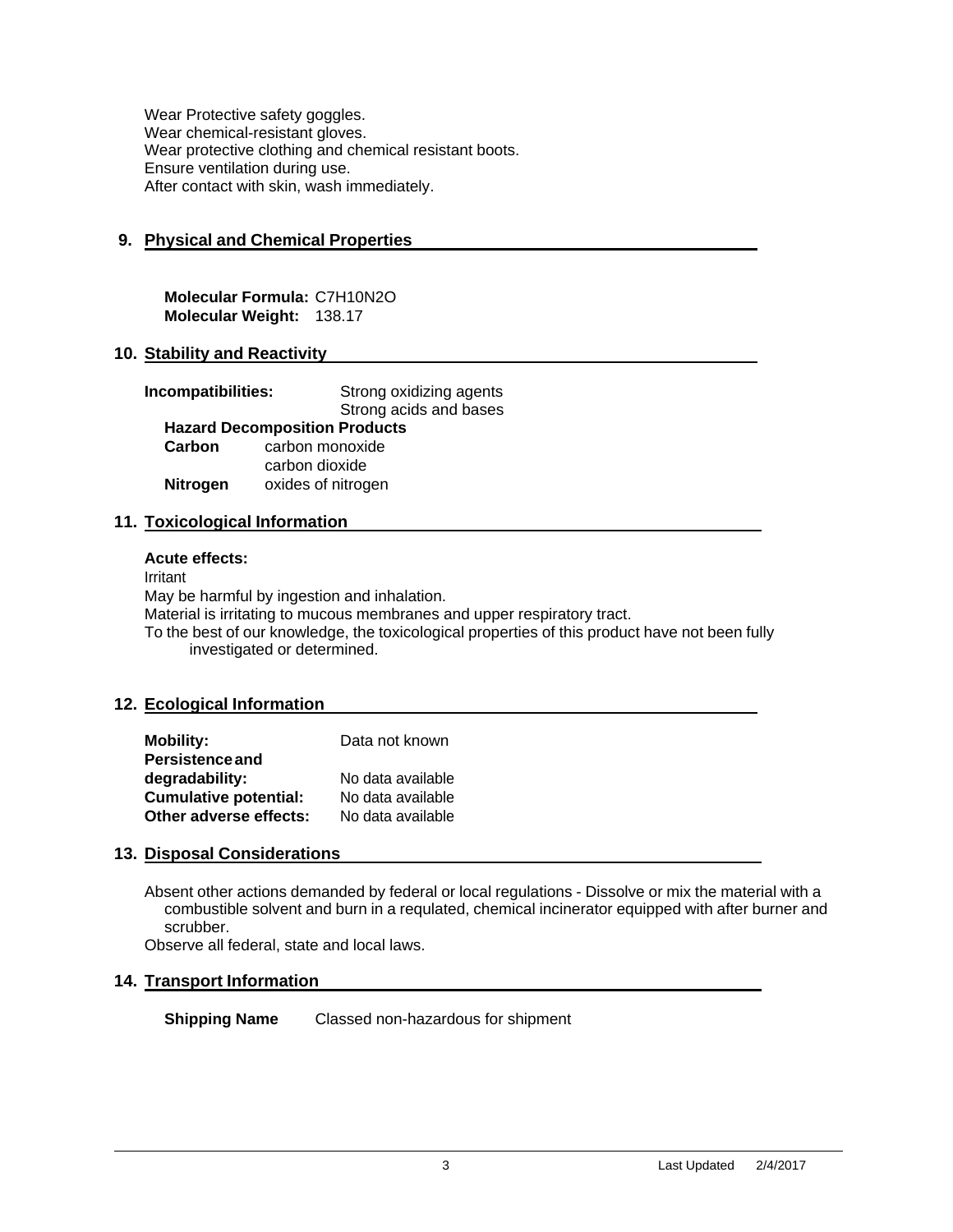Wear Protective safety goggles. Wear chemical-resistant gloves. Wear protective clothing and chemical resistant boots. Ensure ventilation during use. After contact with skin, wash immediately.

#### **9. Physical and Chemical Properties**

**Molecular Formula:** C7H10N2O **Molecular Weight:** 138.17

#### **10. Stability and Reactivity**

| Incompatibilities: |                                      | Strong oxidizing agents |
|--------------------|--------------------------------------|-------------------------|
|                    |                                      | Strong acids and bases  |
|                    | <b>Hazard Decomposition Products</b> |                         |
| Carbon             | carbon monoxide                      |                         |
|                    | carbon dioxide                       |                         |
| <b>Nitrogen</b>    | oxides of nitrogen                   |                         |

#### **11. Toxicological Information**

#### **Acute effects:**

Irritant May be harmful by ingestion and inhalation. Material is irritating to mucous membranes and upper respiratory tract. To the best of our knowledge, the toxicological properties of this product have not been fully investigated or determined.

#### **12. Ecological Information**

| <b>Mobility:</b>             | Data not known    |
|------------------------------|-------------------|
| <b>Persistence and</b>       |                   |
| degradability:               | No data available |
| <b>Cumulative potential:</b> | No data available |
| Other adverse effects:       | No data available |

#### **13. Disposal Considerations**

Absent other actions demanded by federal or local regulations - Dissolve or mix the material with a combustible solvent and burn in a requlated, chemical incinerator equipped with after burner and scrubber.

Observe all federal, state and local laws.

#### **14. Transport Information**

**Shipping Name** Classed non-hazardous for shipment